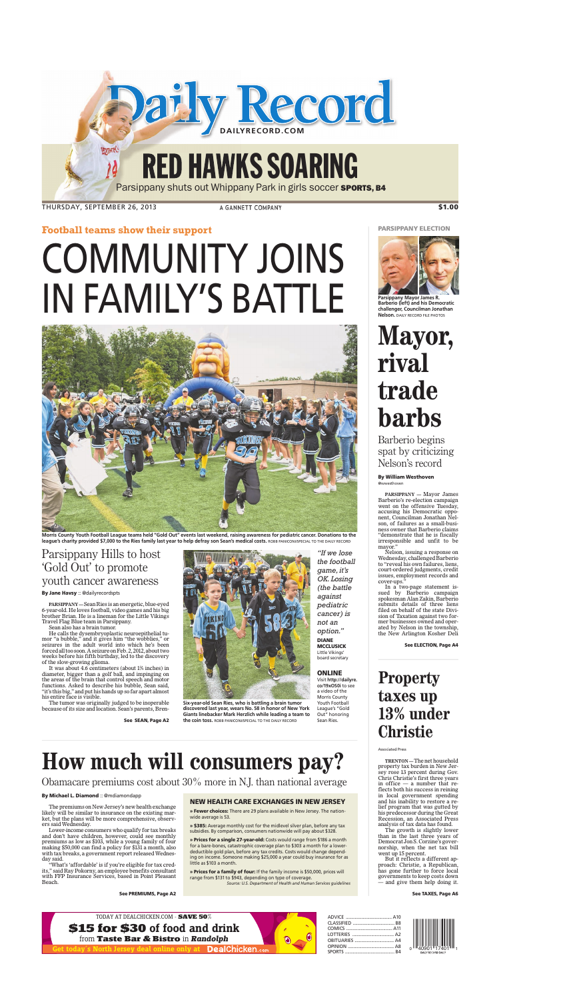**Football teams show their support**

# COMMUNITY JOINS IN FAMILY'S BATTLE



**Morris County Youth Football League teams held "Gold Out" events last weekend, raising awareness for pediatric cancer. Donations to the league's charity provided \$7,000 to the Ries family last year to help defray son Sean's medical costs.** ROBB PANICONI/SPECIAL TO THE DAILY RECORD

## Parsippany Hills to host 'Gold Out' to promote youth cancer awareness

**By Jane Havsy** :: @dailyrecordspts

**PARSIPPANY—**Sean Ries is an energetic, blue-eyed 6-year-old. He loves football, video games and his big brother Brian. He is a lineman for the Little Vikings Travel Flag Blue team in Parsippany.

Sean also has a brain tumor.

He calls the dysembryoplastic neuroepithelial tumor "a bubble," and it gives him "the wobblies," or seizures in the adult world into which he's been forced all too soon.A seizure onFeb. 2, 2012, about two weeks before his fifth birthday, led to the discovery of the slow-growing glioma.

It was about 4.6 centimeters (about 1<sup>3</sup> ⁄<sup>4</sup> inches) in diameter, bigger than a golf ball, and impinging on the areas of the brain that control speech and motor functions. Asked to describe his bubble, Sean said, "it's this big," and put his hands up so far apart almost his entire face is visible.

The tumor was originally judged to be inoperable because of its size and location. Sean's parents, Bren-



**Six-year-old Sean Ries, who is battling a brain tumor discovered last year, wears No. 58 in honor of New York Giants linebacker Mark Herzlich while leading a team to the coin toss.** ROBB PANICONI/SPECIAL TO THE DAILY RECORD

*"If we lose the football game, it's OK. Losing (the battle against pediatric cancer) is not an option."* **DIANE MCCLUSICK** Little Vikings' board secretary

### **ONLINE**

Visit **http://dailyre. co/19xOS0i** to see a video of the Morris County Youth Football League's "Gold Out" honoring Sean Ries.